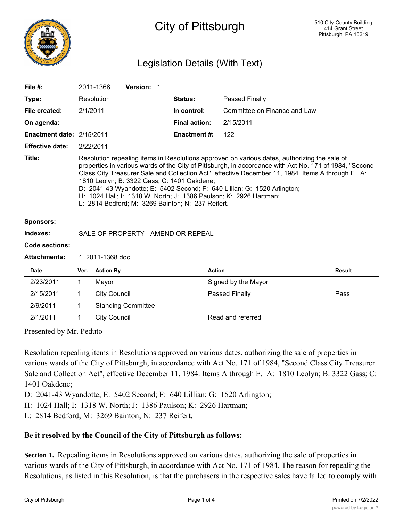

# City of Pittsburgh

## Legislation Details (With Text)

| File $#$ :                       |                                                                                                                                                                                                                                                                                                                                                                                                                                                                                                                                                                  | 2011-1368                                | Version: 1                |  |                      |                              |        |
|----------------------------------|------------------------------------------------------------------------------------------------------------------------------------------------------------------------------------------------------------------------------------------------------------------------------------------------------------------------------------------------------------------------------------------------------------------------------------------------------------------------------------------------------------------------------------------------------------------|------------------------------------------|---------------------------|--|----------------------|------------------------------|--------|
| Type:                            |                                                                                                                                                                                                                                                                                                                                                                                                                                                                                                                                                                  | Resolution                               |                           |  | <b>Status:</b>       | Passed Finally               |        |
| File created:                    |                                                                                                                                                                                                                                                                                                                                                                                                                                                                                                                                                                  | 2/1/2011                                 |                           |  | In control:          | Committee on Finance and Law |        |
| On agenda:                       |                                                                                                                                                                                                                                                                                                                                                                                                                                                                                                                                                                  |                                          |                           |  | <b>Final action:</b> | 2/15/2011                    |        |
| <b>Enactment date: 2/15/2011</b> |                                                                                                                                                                                                                                                                                                                                                                                                                                                                                                                                                                  |                                          |                           |  | <b>Enactment #:</b>  | 122                          |        |
| <b>Effective date:</b>           | 2/22/2011                                                                                                                                                                                                                                                                                                                                                                                                                                                                                                                                                        |                                          |                           |  |                      |                              |        |
| Title:                           | Resolution repealing items in Resolutions approved on various dates, authorizing the sale of<br>properties in various wards of the City of Pittsburgh, in accordance with Act No. 171 of 1984, "Second<br>Class City Treasurer Sale and Collection Act", effective December 11, 1984. Items A through E. A:<br>1810 Leolyn; B: 3322 Gass; C: 1401 Oakdene;<br>D: 2041-43 Wyandotte; E: 5402 Second; F: 640 Lillian; G: 1520 Arlington;<br>H: 1024 Hall; I: 1318 W. North; J: 1386 Paulson; K: 2926 Hartman;<br>L: 2814 Bedford; M: 3269 Bainton; N: 237 Reifert. |                                          |                           |  |                      |                              |        |
| <b>Sponsors:</b>                 |                                                                                                                                                                                                                                                                                                                                                                                                                                                                                                                                                                  |                                          |                           |  |                      |                              |        |
| Indexes:                         | SALE OF PROPERTY - AMEND OR REPEAL                                                                                                                                                                                                                                                                                                                                                                                                                                                                                                                               |                                          |                           |  |                      |                              |        |
| Code sections:                   |                                                                                                                                                                                                                                                                                                                                                                                                                                                                                                                                                                  |                                          |                           |  |                      |                              |        |
| <b>Attachments:</b>              | 1. 2011-1368.doc                                                                                                                                                                                                                                                                                                                                                                                                                                                                                                                                                 |                                          |                           |  |                      |                              |        |
| <b>Date</b>                      | Ver.                                                                                                                                                                                                                                                                                                                                                                                                                                                                                                                                                             | <b>Action By</b>                         |                           |  | <b>Action</b>        |                              | Result |
| 2/23/2011                        | 1                                                                                                                                                                                                                                                                                                                                                                                                                                                                                                                                                                | Mayor                                    |                           |  |                      | Signed by the Mayor          |        |
| 2/15/2011                        | 1                                                                                                                                                                                                                                                                                                                                                                                                                                                                                                                                                                | <b>City Council</b>                      |                           |  |                      | Passed Finally               | Pass   |
| 2/9/2011                         | 1                                                                                                                                                                                                                                                                                                                                                                                                                                                                                                                                                                |                                          | <b>Standing Committee</b> |  |                      |                              |        |
| 2/1/2011                         | 1                                                                                                                                                                                                                                                                                                                                                                                                                                                                                                                                                                | <b>City Council</b><br>Read and referred |                           |  |                      |                              |        |

Presented by Mr. Peduto

Resolution repealing items in Resolutions approved on various dates, authorizing the sale of properties in various wards of the City of Pittsburgh, in accordance with Act No. 171 of 1984, "Second Class City Treasurer Sale and Collection Act", effective December 11, 1984. Items A through E. A: 1810 Leolyn; B: 3322 Gass; C: 1401 Oakdene;

D: 2041-43 Wyandotte; E: 5402 Second; F: 640 Lillian; G: 1520 Arlington;

H: 1024 Hall; I: 1318 W. North; J: 1386 Paulson; K: 2926 Hartman;

L: 2814 Bedford; M: 3269 Bainton; N: 237 Reifert.

### **Be it resolved by the Council of the City of Pittsburgh as follows:**

**Section 1.** Repealing items in Resolutions approved on various dates, authorizing the sale of properties in various wards of the City of Pittsburgh, in accordance with Act No. 171 of 1984. The reason for repealing the Resolutions, as listed in this Resolution, is that the purchasers in the respective sales have failed to comply with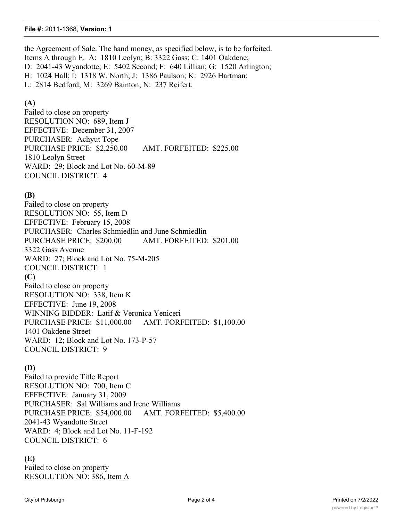#### **File #:** 2011-1368, **Version:** 1

the Agreement of Sale. The hand money, as specified below, is to be forfeited. Items A through E. A: 1810 Leolyn; B: 3322 Gass; C: 1401 Oakdene; D: 2041-43 Wyandotte; E: 5402 Second; F: 640 Lillian; G: 1520 Arlington; H: 1024 Hall; I: 1318 W. North; J: 1386 Paulson; K: 2926 Hartman; L: 2814 Bedford; M: 3269 Bainton; N: 237 Reifert.

#### **(A)**

Failed to close on property RESOLUTION NO: 689, Item J EFFECTIVE: December 31, 2007 PURCHASER: Achyut Tope PURCHASE PRICE: \$2,250.00 AMT. FORFEITED: \$225.00 1810 Leolyn Street WARD: 29; Block and Lot No. 60-M-89 COUNCIL DISTRICT: 4

#### **(B)**

Failed to close on property RESOLUTION NO: 55, Item D EFFECTIVE: February 15, 2008 PURCHASER: Charles Schmiedlin and June Schmiedlin PURCHASE PRICE: \$200.00 AMT. FORFEITED: \$201.00 3322 Gass Avenue WARD: 27; Block and Lot No. 75-M-205 COUNCIL DISTRICT: 1 **(C)** Failed to close on property RESOLUTION NO: 338, Item K EFFECTIVE: June 19, 2008 WINNING BIDDER: Latif & Veronica Yeniceri PURCHASE PRICE: \$11,000.00 AMT. FORFEITED: \$1,100.00 1401 Oakdene Street WARD: 12; Block and Lot No. 173-P-57

COUNCIL DISTRICT: 9

#### **(D)**

Failed to provide Title Report RESOLUTION NO: 700, Item C EFFECTIVE: January 31, 2009 PURCHASER: Sal Williams and Irene Williams PURCHASE PRICE: \$54,000.00 AMT. FORFEITED: \$5,400.00 2041-43 Wyandotte Street WARD: 4; Block and Lot No. 11-F-192 COUNCIL DISTRICT: 6

#### **(E)**

Failed to close on property RESOLUTION NO: 386, Item A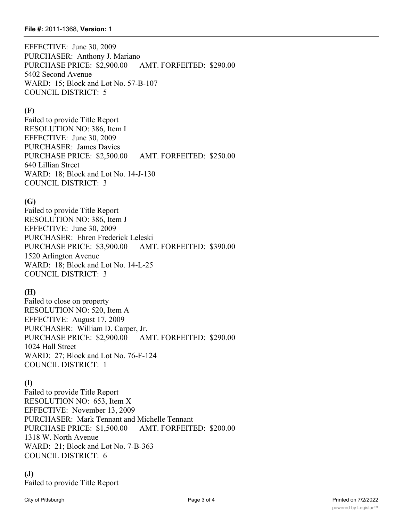#### **File #:** 2011-1368, **Version:** 1

EFFECTIVE: June 30, 2009 PURCHASER: Anthony J. Mariano PURCHASE PRICE: \$2,900.00 AMT. FORFEITED: \$290.00 5402 Second Avenue WARD: 15; Block and Lot No. 57-B-107 COUNCIL DISTRICT: 5

#### **(F)**

Failed to provide Title Report RESOLUTION NO: 386, Item I EFFECTIVE: June 30, 2009 PURCHASER: James Davies PURCHASE PRICE: \$2,500.00 AMT. FORFEITED: \$250.00 640 Lillian Street WARD: 18; Block and Lot No. 14-J-130 COUNCIL DISTRICT: 3

### **(G)**

Failed to provide Title Report RESOLUTION NO: 386, Item J EFFECTIVE: June 30, 2009 PURCHASER: Ehren Frederick Leleski PURCHASE PRICE: \$3,900.00 AMT. FORFEITED: \$390.00 1520 Arlington Avenue WARD: 18; Block and Lot No. 14-L-25 COUNCIL DISTRICT: 3

## **(H)**

Failed to close on property RESOLUTION NO: 520, Item A EFFECTIVE: August 17, 2009 PURCHASER: William D. Carper, Jr. PURCHASE PRICE: \$2,900.00 AMT. FORFEITED: \$290.00 1024 Hall Street WARD: 27; Block and Lot No. 76-F-124 COUNCIL DISTRICT: 1

## **(I)**

Failed to provide Title Report RESOLUTION NO: 653, Item X EFFECTIVE: November 13, 2009 PURCHASER: Mark Tennant and Michelle Tennant PURCHASE PRICE: \$1,500.00 AMT. FORFEITED: \$200.00 1318 W. North Avenue WARD: 21; Block and Lot No. 7-B-363 COUNCIL DISTRICT: 6

### **(J)**

Failed to provide Title Report